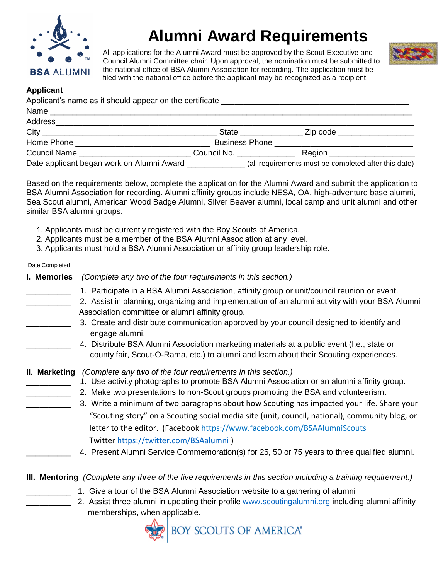

## **Alumni Award Requirements**



All applications for the Alumni Award must be approved by the Scout Executive and Council Alumni Committee chair. Upon approval, the nomination must be submitted to the national office of BSA Alumni Association for recording. The application must be filed with the national office before the applicant may be recognized as a recipient.

## **Applicant**

| Address                                                 |                                                                       |
|---------------------------------------------------------|-----------------------------------------------------------------------|
|                                                         | State ___________________ Zip code ____________________               |
|                                                         | Business Phone _____________________                                  |
| Council Name                                            | Council No. <u>_________________</u><br>Region ______________________ |
| Date applicant began work on Alumni Award _____________ | (all requirements must be completed after this date)                  |

Based on the requirements below, complete the application for the Alumni Award and submit the application to BSA Alumni Association for recording. Alumni affinity groups include NESA, OA, high-adventure base alumni, Sea Scout alumni, American Wood Badge Alumni, Silver Beaver alumni, local camp and unit alumni and other similar BSA alumni groups.

- 1. Applicants must be currently registered with the Boy Scouts of America.
- 2. Applicants must be a member of the BSA Alumni Association at any level.
- 3. Applicants must hold a BSA Alumni Association or affinity group leadership role.

## Date Completed

**I. Memories** *(Complete any two of the four requirements in this section.)*

- 1. Participate in a BSA Alumni Association, affinity group or unit/council reunion or event.
- 2. Assist in planning, organizing and implementation of an alumni activity with your BSA Alumni Association committee or alumni affinity group.
	- 3. Create and distribute communication approved by your council designed to identify and engage alumni.
	- \_\_\_\_\_\_\_\_\_\_ 4. Distribute BSA Alumni Association marketing materials at a public event (I.e., state or county fair, Scout-O-Rama, etc.) to alumni and learn about their Scouting experiences.
- **II. Marketing** *(Complete any two of the four requirements in this section.)*
	- 1. Use activity photographs to promote BSA Alumni Association or an alumni affinity group.
	- 2. Make two presentations to non-Scout groups promoting the BSA and volunteerism.
	- \_\_\_\_\_\_\_\_\_\_ 3. Write a minimum of two paragraphs about how Scouting has impacted your life. Share your "Scouting story" on a Scouting social media site (unit, council, national), community blog, or letter to the editor. (Facebook [https://www.facebook.com/BSAAlumniScouts](http://www.facebook.com/scoutingalumnifriends) Twitter <https://twitter.com/BSAalumni> )
	- \_\_\_\_\_\_\_\_\_\_ 4. Present Alumni Service Commemoration(s) for 25, 50 or 75 years to three qualified alumni.

**III. Mentoring** *(Complete any three of the five requirements in this section including a training requirement.)*

- 1. Give a tour of the BSA Alumni Association website to a gathering of alumni
- \_\_\_\_\_\_\_\_\_\_ 2. Assist three alumni in updating their profile [www.scoutingalumni.org](http://www.scoutingalumni.org/) including alumni affinity memberships, when applicable.